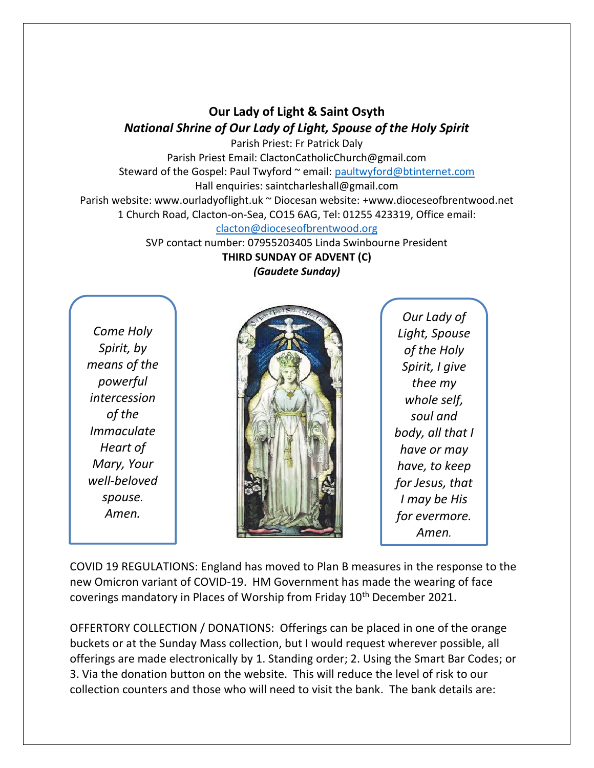## **Our Lady of Light & Saint Osyth** *National Shrine of Our Lady of Light, Spouse of the Holy Spirit*

Parish Priest: Fr Patrick Daly Parish Priest Email: ClactonCatholicChurch@gmail.com Steward of the Gospel: Paul Twyford ~ email: [paultwyford@btinternet.com](mailto:paultwyford@btinternet.com) Hall enquiries: saintcharleshall@gmail.com Parish website: www.ourladyoflight.uk ~ Diocesan website: +www.dioceseofbrentwood.net 1 Church Road, Clacton-on-Sea, CO15 6AG, Tel: 01255 423319, Office email:

[clacton@dioceseofbrentwood.org](mailto:clacton@dioceseofbrentwood.org)

SVP contact number: 07955203405 Linda Swinbourne President **THIRD SUNDAY OF ADVENT (C)**

*(Gaudete Sunday)*

*Come Holy Spirit, by means of the powerful intercession of the Immaculate Heart of Mary, Your well-beloved spouse. Amen.*



*Our Lady of Light, Spouse of the Holy Spirit, I give thee my whole self, soul and body, all that I have or may have, to keep for Jesus, that I may be His for evermore. Amen.*

COVID 19 REGULATIONS: England has moved to Plan B measures in the response to the new Omicron variant of COVID-19. HM Government has made the wearing of face coverings mandatory in Places of Worship from Friday 10<sup>th</sup> December 2021.

OFFERTORY COLLECTION / DONATIONS: Offerings can be placed in one of the orange buckets or at the Sunday Mass collection, but I would request wherever possible, all offerings are made electronically by 1. Standing order; 2. Using the Smart Bar Codes; or 3. Via the donation button on the website. This will reduce the level of risk to our collection counters and those who will need to visit the bank. The bank details are: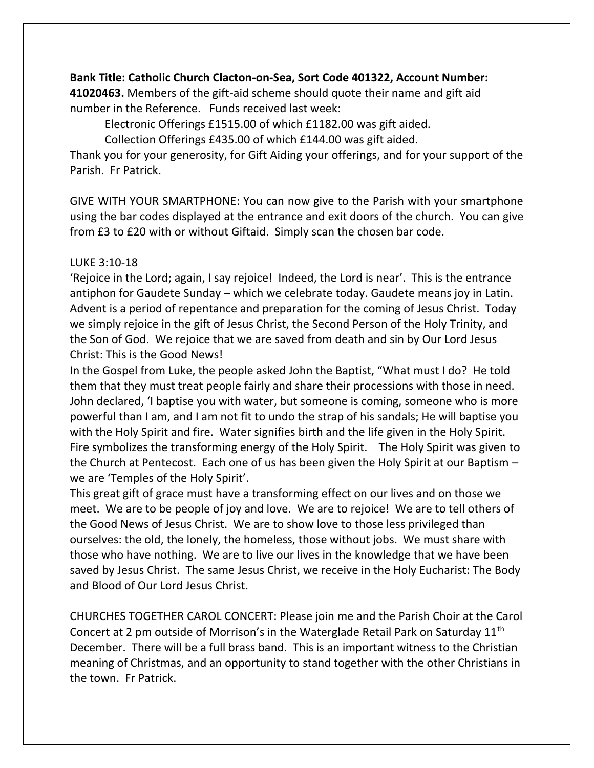## **Bank Title: Catholic Church Clacton-on-Sea, Sort Code 401322, Account Number:**

**41020463.** Members of the gift-aid scheme should quote their name and gift aid number in the Reference. Funds received last week:

Electronic Offerings £1515.00 of which £1182.00 was gift aided.

Collection Offerings £435.00 of which £144.00 was gift aided.

Thank you for your generosity, for Gift Aiding your offerings, and for your support of the Parish. Fr Patrick.

GIVE WITH YOUR SMARTPHONE: You can now give to the Parish with your smartphone using the bar codes displayed at the entrance and exit doors of the church. You can give from £3 to £20 with or without Giftaid. Simply scan the chosen bar code.

## LUKE 3:10-18

'Rejoice in the Lord; again, I say rejoice! Indeed, the Lord is near'. This is the entrance antiphon for Gaudete Sunday – which we celebrate today. Gaudete means joy in Latin. Advent is a period of repentance and preparation for the coming of Jesus Christ. Today we simply rejoice in the gift of Jesus Christ, the Second Person of the Holy Trinity, and the Son of God. We rejoice that we are saved from death and sin by Our Lord Jesus Christ: This is the Good News!

In the Gospel from Luke, the people asked John the Baptist, "What must I do? He told them that they must treat people fairly and share their processions with those in need. John declared, 'I baptise you with water, but someone is coming, someone who is more powerful than I am, and I am not fit to undo the strap of his sandals; He will baptise you with the Holy Spirit and fire. Water signifies birth and the life given in the Holy Spirit. Fire symbolizes the transforming energy of the Holy Spirit. The Holy Spirit was given to the Church at Pentecost. Each one of us has been given the Holy Spirit at our Baptism – we are 'Temples of the Holy Spirit'.

This great gift of grace must have a transforming effect on our lives and on those we meet. We are to be people of joy and love. We are to rejoice! We are to tell others of the Good News of Jesus Christ. We are to show love to those less privileged than ourselves: the old, the lonely, the homeless, those without jobs. We must share with those who have nothing. We are to live our lives in the knowledge that we have been saved by Jesus Christ. The same Jesus Christ, we receive in the Holy Eucharist: The Body and Blood of Our Lord Jesus Christ.

CHURCHES TOGETHER CAROL CONCERT: Please join me and the Parish Choir at the Carol Concert at 2 pm outside of Morrison's in the Waterglade Retail Park on Saturday 11th December. There will be a full brass band. This is an important witness to the Christian meaning of Christmas, and an opportunity to stand together with the other Christians in the town. Fr Patrick.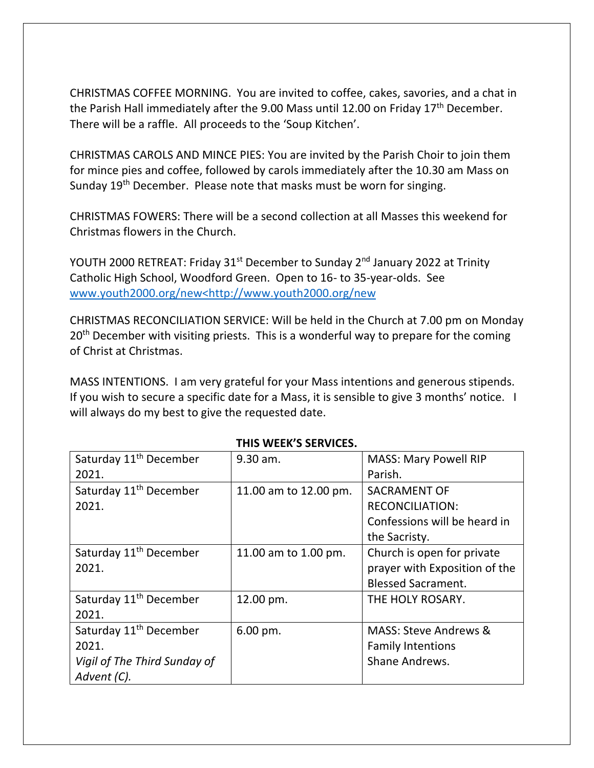CHRISTMAS COFFEE MORNING. You are invited to coffee, cakes, savories, and a chat in the Parish Hall immediately after the 9.00 Mass until 12.00 on Friday  $17<sup>th</sup>$  December. There will be a raffle. All proceeds to the 'Soup Kitchen'.

CHRISTMAS CAROLS AND MINCE PIES: You are invited by the Parish Choir to join them for mince pies and coffee, followed by carols immediately after the 10.30 am Mass on Sunday 19<sup>th</sup> December. Please note that masks must be worn for singing.

CHRISTMAS FOWERS: There will be a second collection at all Masses this weekend for Christmas flowers in the Church.

YOUTH 2000 RETREAT: Friday 31<sup>st</sup> December to Sunday 2<sup>nd</sup> January 2022 at Trinity Catholic High School, Woodford Green. Open to 16- to 35-year-olds. See [www.youth2000.org/new<http://www.youth2000.org/new](http://www.youth2000.org/new%3chttp:/www.youth2000.org/new)

CHRISTMAS RECONCILIATION SERVICE: Will be held in the Church at 7.00 pm on Monday 20<sup>th</sup> December with visiting priests. This is a wonderful way to prepare for the coming of Christ at Christmas.

MASS INTENTIONS. I am very grateful for your Mass intentions and generous stipends. If you wish to secure a specific date for a Mass, it is sensible to give 3 months' notice. I will always do my best to give the requested date.

| Saturday 11 <sup>th</sup> December | 9.30 am.               | <b>MASS: Mary Powell RIP</b>  |
|------------------------------------|------------------------|-------------------------------|
| 2021.                              |                        | Parish.                       |
| Saturday 11 <sup>th</sup> December | 11.00 am to 12.00 pm.  | <b>SACRAMENT OF</b>           |
| 2021.                              |                        | <b>RECONCILIATION:</b>        |
|                                    |                        | Confessions will be heard in  |
|                                    |                        | the Sacristy.                 |
| Saturday 11 <sup>th</sup> December | 11.00 am to 1.00 pm.   | Church is open for private    |
| 2021.                              |                        | prayer with Exposition of the |
|                                    |                        | <b>Blessed Sacrament.</b>     |
| Saturday 11 <sup>th</sup> December | 12.00 pm.              | THE HOLY ROSARY.              |
| 2021.                              |                        |                               |
| Saturday 11 <sup>th</sup> December | $6.00 \,\mathrm{pm}$ . | MASS: Steve Andrews &         |
| 2021.                              |                        | <b>Family Intentions</b>      |
| Vigil of The Third Sunday of       |                        | Shane Andrews.                |
| Advent (C).                        |                        |                               |

## **THIS WEEK'S SERVICES.**